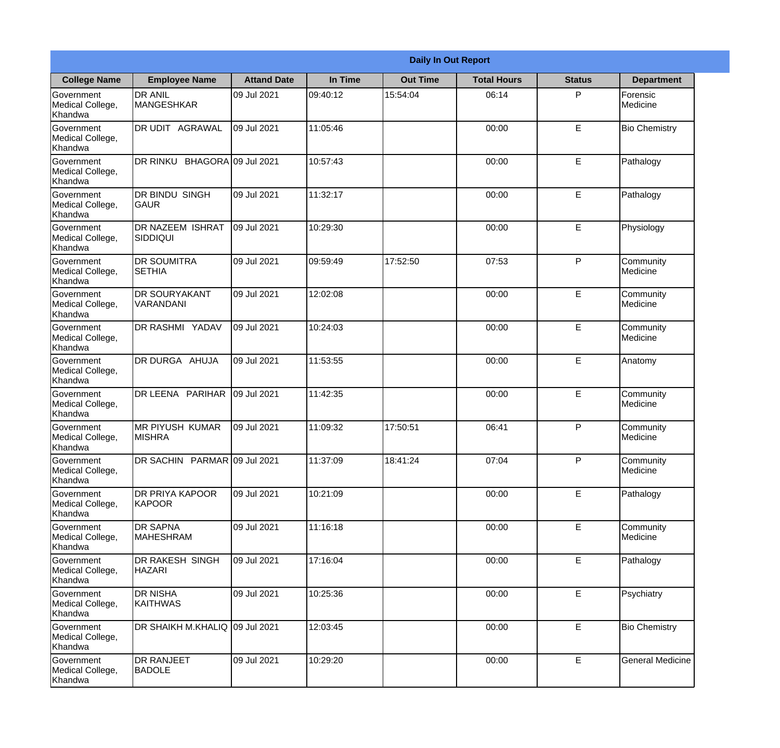|                                                  | <b>Daily In Out Report</b>                 |                    |          |                 |                    |               |                         |  |
|--------------------------------------------------|--------------------------------------------|--------------------|----------|-----------------|--------------------|---------------|-------------------------|--|
| <b>College Name</b>                              | <b>Employee Name</b>                       | <b>Attand Date</b> | In Time  | <b>Out Time</b> | <b>Total Hours</b> | <b>Status</b> | <b>Department</b>       |  |
| Government<br>Medical College,<br>Khandwa        | <b>DR ANIL</b><br><b>MANGESHKAR</b>        | 09 Jul 2021        | 09:40:12 | 15:54:04        | 06:14              | P             | Forensic<br>Medicine    |  |
| Government<br>Medical College,<br>Khandwa        | DR UDIT AGRAWAL                            | 09 Jul 2021        | 11:05:46 |                 | 00:00              | E             | <b>Bio Chemistry</b>    |  |
| <b>Government</b><br>Medical College,<br>Khandwa | DR RINKU<br>BHAGORA 09 Jul 2021            |                    | 10:57:43 |                 | 00:00              | E             | Pathalogy               |  |
| <b>Government</b><br>Medical College,<br>Khandwa | <b>DR BINDU SINGH</b><br><b>GAUR</b>       | 09 Jul 2021        | 11:32:17 |                 | 00:00              | E             | Pathalogy               |  |
| Government<br>Medical College,<br>Khandwa        | <b>DR NAZEEM ISHRAT</b><br><b>SIDDIQUI</b> | 09 Jul 2021        | 10:29:30 |                 | 00:00              | E             | Physiology              |  |
| Government<br>Medical College,<br>Khandwa        | <b>DR SOUMITRA</b><br><b>SETHIA</b>        | 09 Jul 2021        | 09:59:49 | 17:52:50        | 07:53              | P             | Community<br>Medicine   |  |
| <b>Government</b><br>Medical College,<br>Khandwa | <b>DR SOURYAKANT</b><br>VARANDANI          | 09 Jul 2021        | 12:02:08 |                 | 00:00              | E             | Community<br>Medicine   |  |
| <b>Government</b><br>Medical College,<br>Khandwa | <b>DR RASHMI YADAV</b>                     | 09 Jul 2021        | 10:24:03 |                 | 00:00              | E             | Community<br>Medicine   |  |
| Government<br>Medical College,<br>Khandwa        | <b>DR DURGA AHUJA</b>                      | 09 Jul 2021        | 11:53:55 |                 | 00:00              | E             | Anatomy                 |  |
| Government<br>Medical College,<br>Khandwa        | DR LEENA PARIHAR                           | 09 Jul 2021        | 11:42:35 |                 | 00:00              | E             | Community<br>Medicine   |  |
| Government<br>Medical College,<br>Khandwa        | IMR PIYUSH KUMAR<br><b>MISHRA</b>          | 09 Jul 2021        | 11:09:32 | 17:50:51        | 06:41              | P             | Community<br>Medicine   |  |
| Government<br>Medical College,<br>Khandwa        | DR SACHIN PARMAR 09 Jul 2021               |                    | 11:37:09 | 18:41:24        | 07:04              | P             | Community<br>Medicine   |  |
| Government<br>Medical College,<br>Khandwa        | <b>DR PRIYA KAPOOR</b><br><b>KAPOOR</b>    | 09 Jul 2021        | 10:21:09 |                 | 00:00              | E             | Pathalogy               |  |
| Government<br>Medical College,<br>Khandwa        | <b>DR SAPNA</b><br><b>MAHESHRAM</b>        | 09 Jul 2021        | 11:16:18 |                 | 00:00              | E             | Community<br>Medicine   |  |
| Government<br>Medical College,<br>Khandwa        | <b>DR RAKESH SINGH</b><br><b>HAZARI</b>    | 09 Jul 2021        | 17:16:04 |                 | 00:00              | E             | Pathalogy               |  |
| Government<br>Medical College,<br>Khandwa        | <b>DR NISHA</b><br>KAITHWAS                | 09 Jul 2021        | 10:25:36 |                 | 00:00              | E             | Psychiatry              |  |
| Government<br>Medical College,<br>Khandwa        | DR SHAIKH M.KHALIQ 09 Jul 2021             |                    | 12:03:45 |                 | 00:00              | E             | <b>Bio Chemistry</b>    |  |
| Government<br>Medical College,<br>Khandwa        | <b>DR RANJEET</b><br><b>BADOLE</b>         | 09 Jul 2021        | 10:29:20 |                 | 00:00              | E             | <b>General Medicine</b> |  |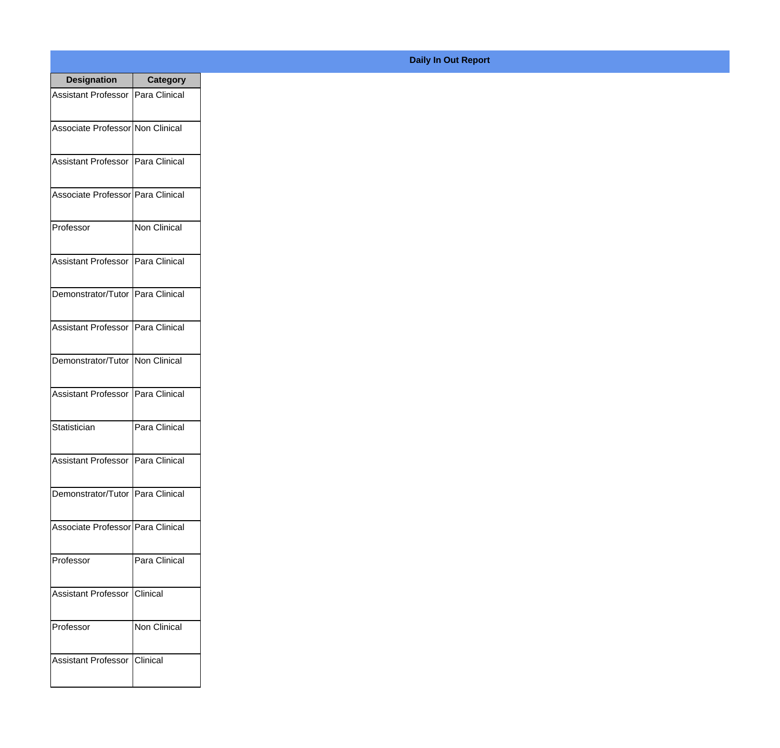| <b>Designation</b>                         | Category            |
|--------------------------------------------|---------------------|
| <b>Assistant Professor</b>                 | Para Clinical       |
| Associate Professor Non Clinical           |                     |
| Assistant Professor                        | Para Clinical       |
| Associate Professor   Para Clinical        |                     |
| Professor                                  | Non Clinical        |
| <b>Assistant Professor</b>                 | Para Clinical       |
| Demonstrator/Tutor   Para Clinical         |                     |
| <b>Assistant Professor</b>                 | Para Clinical       |
| Demonstrator/Tutor                         | Non Clinical        |
| Assistant Professor                        | Para Clinical       |
| Statistician                               | Para Clinical       |
| <b>Assistant Professor   Para Clinical</b> |                     |
| Demonstrator/Tutor   Para Clinical         |                     |
| Associate Professor Para Clinical          |                     |
| Professor                                  | Para Clinical       |
| <b>Assistant Professor</b>                 | Clinical            |
| Professor                                  | <b>Non Clinical</b> |
| <b>Assistant Professor</b>                 | <b>Clinical</b>     |

## **Daily In Out Report**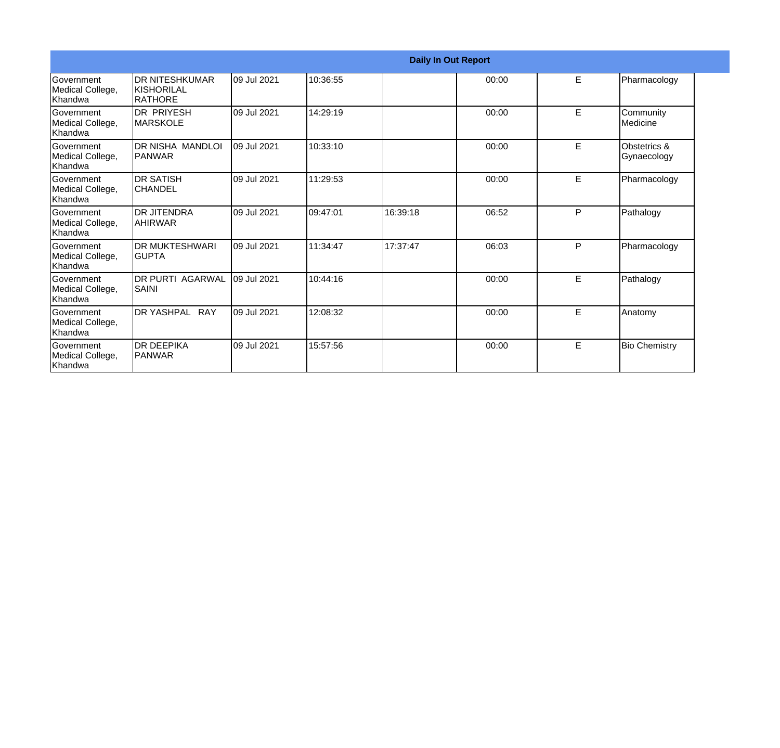|                                                  |                                                        |             |          |          | <b>Daily In Out Report</b> |    |                             |  |
|--------------------------------------------------|--------------------------------------------------------|-------------|----------|----------|----------------------------|----|-----------------------------|--|
| Government<br>Medical College,<br>Khandwa        | <b>DR NITESHKUMAR</b><br>Ikishorilal<br><b>RATHORE</b> | 09 Jul 2021 | 10:36:55 |          | 00:00                      | E  | Pharmacology                |  |
| <b>Government</b><br>Medical College,<br>Khandwa | <b>DR PRIYESH</b><br><b>MARSKOLE</b>                   | 09 Jul 2021 | 14:29:19 |          | 00:00                      | E  | Community<br>Medicine       |  |
| Government<br>Medical College,<br>Khandwa        | <b>DR NISHA MANDLOI</b><br><b>IPANWAR</b>              | 09 Jul 2021 | 10:33:10 |          | 00:00                      | E  | Obstetrics &<br>Gynaecology |  |
| Government<br>Medical College,<br>Khandwa        | <b>DR SATISH</b><br><b>CHANDEL</b>                     | 09 Jul 2021 | 11:29:53 |          | 00:00                      | E  | Pharmacology                |  |
| Government<br>Medical College,<br>Khandwa        | <b>DR JITENDRA</b><br>AHIRWAR                          | 09 Jul 2021 | 09:47:01 | 16:39:18 | 06:52                      | P  | Pathalogy                   |  |
| Government<br>Medical College,<br><b>Khandwa</b> | <b>DR MUKTESHWARI</b><br><b>GUPTA</b>                  | 09 Jul 2021 | 11:34:47 | 17:37:47 | 06:03                      | P  | Pharmacology                |  |
| Government<br>Medical College,<br>Khandwa        | <b>DR PURTI AGARWAL</b><br>SAINI                       | 09 Jul 2021 | 10:44:16 |          | 00:00                      | E. | Pathalogy                   |  |
| Government<br>Medical College,<br><b>Khandwa</b> | DR YASHPAL RAY                                         | 09 Jul 2021 | 12:08:32 |          | 00:00                      | E  | Anatomy                     |  |
| Government<br>Medical College,<br>Khandwa        | <b>IDR DEEPIKA</b><br><b>PANWAR</b>                    | 09 Jul 2021 | 15:57:56 |          | 00:00                      | E. | <b>Bio Chemistry</b>        |  |